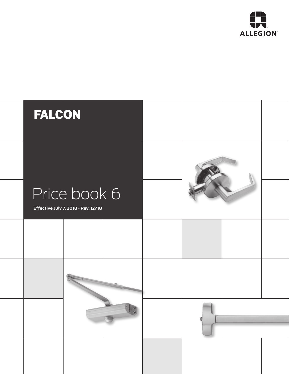

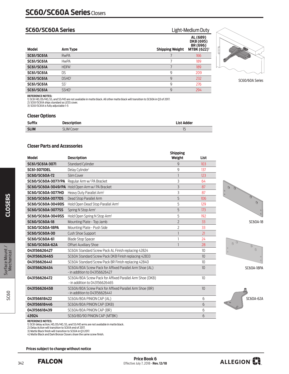# **SC60/SC60A Series** Light-Medium Duty

| <b>Model</b>      | Arm Type          | <b>Shipping Weight</b> | AL (689)<br>DKB (695)<br>BR (696)<br><b>MTBK (622)</b> <sup>1</sup> |
|-------------------|-------------------|------------------------|---------------------------------------------------------------------|
| <b>SC61/SC61A</b> | <b>RwPA</b>       |                        | 166                                                                 |
| <b>SC61/SC61A</b> | <b>HwPA</b>       |                        | 189                                                                 |
| <b>SC61/SC61A</b> | <b>HDPA</b>       |                        | 189                                                                 |
| <b>SC61/SC61A</b> | <b>DS</b>         | 9                      | 209                                                                 |
| <b>SC61/SC61A</b> | DSHO <sup>1</sup> | 9                      | 232                                                                 |
| <b>SC61/SC61A</b> | SS <sup>1</sup>   | 9                      | 276                                                                 |
| <b>SC61/SC61A</b> | SSHO <sup>1</sup> | 9                      | 294                                                                 |
|                   |                   |                        |                                                                     |



SC60/60A Series

**REFERENCE NOTES:**<br>1) SC61 HD, DS/HO, SS, and SS/HO are not available in matte black. All other matte black will transition to SC60A in Q3 of 2017.<br>2) SC6I/SC61A ships standard as LESS cover.<br>3) SC6I/SC61A is fully adjusta

## **Closer Options**

| <b>Suffix</b> | <b>Description</b> | <b>List Adder</b>        |
|---------------|--------------------|--------------------------|
| <b>SLIM</b>   | <b>SLIM Cover</b>  | $\overline{\phantom{0}}$ |

# **Closer Parts and Accessories**

| <b>Model</b>             | <b>Description</b>                                                                         | <b>Shipping</b><br>Weight | List |              |
|--------------------------|--------------------------------------------------------------------------------------------|---------------------------|------|--------------|
| SC61/SC61A-3071          | <b>Standard Cylinder</b>                                                                   | 9                         | 103  |              |
| <b>SC61-3071DEL</b>      | Delay Cylinder <sup>1</sup>                                                                | 9                         | 137  |              |
| <b>SC60/SC60A-72</b>     | Slim Cover                                                                                 | $\overline{\phantom{a}}$  | 123  |              |
| SC60/SC60A-3077/PA       | Regular Arm w/PA Bracket                                                                   | 3                         | 64   |              |
|                          | SC60/SC60A-3049/PA Hold Open Arm w/PA Bracket                                              | 3                         | 87   | Ø            |
| SC60/SC60A-3077HD        | Heavy Duty Parallel Arm <sup>1</sup>                                                       | 3                         | 87   |              |
| <b>SC60/SC60A-3077DS</b> | Dead Stop Parallel Arm                                                                     | 5                         | 106  |              |
| SC60/SC60A-3049DS        | Hold Open Dead Stop Parallel Arm <sup>1</sup>                                              | 5                         | 129  |              |
| SC60/SC60A-3077SS        | Spring N Stop Arm <sup>1</sup>                                                             | 5                         | 173  |              |
| SC60/SC60A-3049SS        | Hold Open Spring N Stop Arm <sup>1</sup>                                                   | 5                         | 192  |              |
| <b>SC60/SC60A-18</b>     | Mounting Plate - Top Jamb                                                                  | $\overline{2}$            | 33   |              |
| <b>SC60/SC60A-18PA</b>   | Mounting Plate - Push Side                                                                 | $\overline{2}$            | 33   |              |
| SC60/SC60A-30            | Cush Shoe Support                                                                          |                           | 21   |              |
| SC60/SC60A-61            | <b>Blade Stop Spacer</b>                                                                   |                           | 24   |              |
| <b>SC60/SC60A-62A</b>    | <b>Offset Auxiliary Shoe</b>                                                               | $\mathbf{1}$              | 28   |              |
| 043156626427             | SC60A Standard Screw Pack AL Finish replacing 42824                                        |                           | 10   | $\mathbf{0}$ |
| 043156626465             | SC60A Standard Screw Pack DKB Finish replacing 42833                                       |                           | 10   |              |
| 043156626441             | SC60A Standard Screw Pack BR Finish replacing 42840                                        |                           | 10   |              |
| 043156626434             | SC60A/80A Screw Pack for Affixed Parallel Arm Shoe (AL)<br>- in addition to 043156626427   |                           | 10   |              |
| 043156626472             | SC60A/80A Screw Pack for Affixed Parallel Arm Shoe (DKB)<br>- in addition to 043156626465  |                           | 10   |              |
| 043156626458             | SC60A/80A Screw Pack for Affixed Parallel Arm Shoe (BR)<br>$-$ in addition to 043156626441 |                           | 10   |              |
| 043156618422             | SC60A/80A PINION CAP (AL)                                                                  |                           | 6    |              |
| 043156618446             | SC60A/80A PINION CAP (DKB)                                                                 |                           | 6    |              |
| 043156618439             | SC60A/80A PINION CAP (BR)                                                                  |                           | 6    |              |
| 43924                    | SC60/80/90 PINION CAP (MTBK)                                                               |                           | 6    |              |
|                          |                                                                                            |                           |      |              |







SC60A-18PA



Surface Mount /<br>Mechanical

**CLOSERS** 

**REFERENCE NOTES:**<br>1) SC61 delay action, HD, DS/HO, SS, and SS/HO arms are not available in matte black.<br>2) Delay Action will transition to SC61A end of 2017.<br>3) Matte Black finish will transition to SC61A in Q3 2017.<br>4) M

 **Prices subject to change without notice**

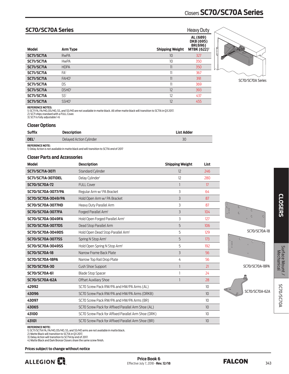# Closers **SC70/SC70A Series**

# **SC70/SC70A Series Heavy Duty**

| <b>Model</b>      | <b>Arm Type</b>   | <b>Shipping Weight</b> | AL (689)<br>DKB (695)<br>BR(696)<br><b>MTBK (622)</b> <sup>1</sup> |
|-------------------|-------------------|------------------------|--------------------------------------------------------------------|
| <b>SC71/SC71A</b> | <b>RwPA</b>       | 10                     | 327                                                                |
| <b>SC71/SC71A</b> | <b>HwPA</b>       | 10                     | 350                                                                |
| <b>SC71/SC71A</b> | <b>HDPA</b>       | 11                     | 350                                                                |
| <b>SC71/SC71A</b> | FA <sup>1</sup>   | 11                     | 367                                                                |
| <b>SC71/SC71A</b> | <b>FAHO</b>       | $\mathbb{I}$           | 391                                                                |
| <b>SC71/SC71A</b> | <b>DS</b>         | 11                     | 369                                                                |
| <b>SC71/SC71A</b> | DSHO <sup>1</sup> | 12                     | 393                                                                |
| <b>SC71/SC71A</b> | SS <sup>1</sup>   | 12                     | 437                                                                |
| <b>SC71/SC71A</b> | SSHO <sup>1</sup> | 12                     | 455                                                                |



SC70/SC70A Series

**REFERENCE NOTES:** 

1) SC71 FA, FA/HO, DS/HO, SS, and SS/HO are not available in matte black. All other matte black will transition to SC71A in Q3 2017.<br>2) SC71 ships standard with a FULL Cover.<br>3) SC71 is fully adjustable 1-6

## **Closer Options**

| <b>Suffix</b> | <b>Description</b>      | <b>List Adder</b> |
|---------------|-------------------------|-------------------|
| <b>DEL</b>    | Delayed Action Cylinder | ЗC                |

**REFERENCE NOTE:** 

1) Delay Action is not available in matte black and will transition to SC71A end of 2017

### **Closer Parts and Accessories**

| <b>Model</b>             | <b>Description</b>                                  | <b>Shipping Weight</b> | List |                                                                                                            |
|--------------------------|-----------------------------------------------------|------------------------|------|------------------------------------------------------------------------------------------------------------|
| SC71/SC71A-3071          | <b>Standard Cylinder</b>                            | 12                     | 246  |                                                                                                            |
| SC71/SC71A-3071DEL       | Delay Cylinder <sup>1</sup>                         | 12                     | 280  |                                                                                                            |
| <b>SC70/SC70A-72</b>     | <b>FULL Cover</b>                                   |                        | 17   |                                                                                                            |
| SC70/SC70A-3077/PA       | Regular Arm w/ PA Bracket                           | 3                      | 64   |                                                                                                            |
| SC70/SC70A-3049/PA       | Hold Open Arm w/ PA Bracket                         | 3                      | 87   |                                                                                                            |
| SC70/SC70A-3077HD        | Heavy Duty Parallel Arm                             | 3                      | 87   |                                                                                                            |
| <b>SC70/SC70A-3077FA</b> | Forged Parallel Arm <sup>1</sup>                    | 3                      | 104  | $\begin{matrix} 0 & \cdots & 0 \\ \vdots & \ddots & \vdots \\ 0 & \cdots & \cdots \end{matrix}$<br>$\circ$ |
| SC70/SC70A-3049FA        | Hold Open Forged Parallel Arm <sup>1</sup>          | 3                      | 127  | $\circ$                                                                                                    |
| SC70/SC70A-3077DS        | Dead Stop Parallel Arm                              | 5                      | 106  |                                                                                                            |
| SC70/SC70A-3049DS        | Hold Open Dead Stop Parallel Arm <sup>1</sup>       | 5                      | 129  | SC70/SC70A-18                                                                                              |
| SC70/SC70A-3077SS        | Spring N Stop Arm <sup>1</sup>                      | 5                      | 173  |                                                                                                            |
| SC70/SC70A-3049SS        | Hold Open Spring N Stop Arm <sup>1</sup>            | 5                      | 192  |                                                                                                            |
| <b>SC70/SC70A-18</b>     | Narrow Frame Back Plate                             | 3                      | 56   |                                                                                                            |
| <b>SC70/SC70A-18PA</b>   | Narrow Top Rail Drop Plate                          | 4                      | 56   |                                                                                                            |
| <b>SC70/SC70A-30</b>     | Cush Shoe Support                                   |                        | 21   | SC70/SC70A-18PA                                                                                            |
| SC70/SC70A-61            | <b>Blade Stop Spacer</b>                            |                        | 24   |                                                                                                            |
| <b>SC70/SC70A-62A</b>    | <b>Offset Auxiliary Shoe</b>                        |                        | 28   |                                                                                                            |
| 42992                    | SC70 Screw Pack RW/PA and HW/PA Arms (AL)           |                        | 10   |                                                                                                            |
| 43096                    | SC70 Screw Pack RW/PA and HW/PA Arms (DRKB)         |                        | 10   | SC70/SC70A-62A                                                                                             |
| 43097                    | SC70 Screw Pack RW/PA and HW/PA Arms (BR)           |                        | 10   |                                                                                                            |
| 43065                    | SC70 Screw Pack for Affixed Parallel Arm Shoe (AL)  |                        | 10   |                                                                                                            |
| 43100                    | SC70 Screw Pack for Affixed Parallel Arm Shoe (DRK) |                        | 10   |                                                                                                            |
| 43101                    | SC70 Screw Pack for Affixed Parallel Arm Shoe (BR)  |                        | 10   |                                                                                                            |
|                          |                                                     |                        |      |                                                                                                            |



### **REFERENCE NOTE:**

1) SC71/SC71A FA, FA/HO, DS/HO, SS, and SS/HO arms are not available in matte black.<br>2) Matte Black will transition to SC71A in Q3 2017.<br>3) Delay Action will transition to SC71A by end of 2017.<br>4) Matte Black and Dark Bron

 **Prices subject to change without notice**



343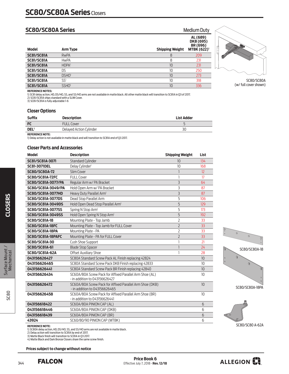# **SC80/SC80A Series** Medium Duty

| <b>Model</b>      | Arm Type          | <b>Shipping Weight</b> | AL (689)<br>DKB (695)<br>BR (696)<br><b>MTBK (622)</b> <sup>1</sup> |
|-------------------|-------------------|------------------------|---------------------------------------------------------------------|
| <b>SC81/SC81A</b> | <b>RwPA</b>       | 8                      | 209                                                                 |
| <b>SC81/SC81A</b> | <b>HwPA</b>       | 8                      | 231                                                                 |
| <b>SC81/SC81A</b> | <b>HDPA</b>       | 10                     | 231                                                                 |
| <b>SC81/SC81A</b> | DS                | 10                     | 250                                                                 |
| <b>SC81/SC81A</b> | DSHO <sup>1</sup> | 10                     | 273                                                                 |
| <b>SC81/SC81A</b> | SS <sup>1</sup>   | 10                     | 318                                                                 |
| <b>SC81/SC81A</b> | SSHO <sup>1</sup> | 10                     | 336                                                                 |



SC80/SC80A (w/ full cover shown)

# **REFERENCE NOTES:**

1) SC81 delay action, HD, DS/HO, SS, and SS/HO arms are not available in matte black. All other matte black will transition to SC81A in Q3 of 2017.<br>2) SC81/SC81A ships standard with a SLIM Cover.<br>3) SC81/SC81A is fully adj

# **Closer Options**

| <b>Suffix</b> | <b>Description</b>      | <b>List Adder</b> |
|---------------|-------------------------|-------------------|
| <b>FC</b>     | <b>FULL Cover</b>       |                   |
| <b>DEL</b>    | Delayed Action Cylinder | ЗС                |
|               |                         |                   |

**REFERENCE NOTE:** 

1) Delay action is not available in matte black and will transition to SC81A end of Q3 2017.

# **Closer Parts and Accessories**

| <b>Model</b>             | <b>Description</b>                                                                        | <b>Shipping Weight</b> | List |
|--------------------------|-------------------------------------------------------------------------------------------|------------------------|------|
| SC81/SC81A-3071          | <b>Standard Cylinder</b>                                                                  | 10                     | 134  |
| <b>SC81-3071DEL</b>      | Delay Cylinder <sup>1</sup>                                                               | 10                     | 168  |
| <b>SC80/SC80A-72</b>     | Slim Cover                                                                                |                        | 12   |
| <b>SC80/SC81A-72FC</b>   | <b>FULL Cover</b>                                                                         |                        | 17   |
| SC80/SC81A-3077/PA       | Regular Arm w/ PA Bracket                                                                 | 3                      | 64   |
| SC80/SC81A-3049/PA       | Hold Open Arm w/ PA Bracket                                                               | 3                      | 87   |
| SC80/SC81A-3077HD        | Heavy Duty Parallel Arm <sup>1</sup>                                                      | 3                      | 87   |
| SC80/SC81A-3077DS        | Dead Stop Parallel Arm                                                                    | 5                      | 106  |
| SC80/SC81A-3049DS        | Hold Open Dead Stop Parallel Arm <sup>1</sup>                                             | 5                      | 129  |
| SC80/SC81A-3077SS        | Spring N Stop Arm <sup>1</sup>                                                            | 5                      | 173  |
| SC80/SC81A-3049SS        | Hold Open Spring N Stop Arm <sup>1</sup>                                                  | 5                      | 192  |
| <b>SC80/SC81A-18</b>     | Mounting Plate - Top Jamb                                                                 | 2                      | 33   |
| <b>SC80/SC81A-18FC</b>   | Mounting Plate - Top Jamb for FULL Cover                                                  | $\overline{2}$         | 33   |
| <b>SC80/SC81A-18PA</b>   | Mounting Plate - PA                                                                       | 2                      | 33   |
| <b>SC80/SC81A-18PAFC</b> | Mounting Plate - PA for FULL Cover                                                        | $\overline{2}$         | 33   |
| SC80/SC81A-30            | Cush Shoe Support                                                                         |                        | 21   |
| SC80/SC81A-61            | <b>Blade Stop Spacer</b>                                                                  |                        | 24   |
| SC80/SC81A-62A           | <b>Offset Auxiliary Shoe</b>                                                              |                        | 28   |
| 043156626427             | SC80A Standard Screw Pack AL Finish replacing 42824                                       |                        | 10   |
| 043156626465             | SC80A Standard Screw Pack DKB Finish replacing 42833                                      |                        | 10   |
| 043156626441             | SC80A Standard Screw Pack BR Finish replacing 42840                                       |                        | 10   |
| 043156626434             | SC60A/80A Screw Pack for Affixed Parallel Arm Shoe (AL)<br>- in addition to 043156626427  |                        | 10   |
| 043156626472             | SC60A/80A Screw Pack for Affixed Parallel Arm Shoe (DKB)<br>- in addition to 043156626465 |                        | 10   |
| 043156626458             | SC60A/80A Screw Pack for Affixed Parallel Arm Shoe (BR)<br>- in addition to 043156626441  |                        | 10   |
| 043156618422             | SC60A/80A PINION CAP (AL)                                                                 |                        | 6    |
| 043156618446             | SC60A/80A PINION CAP (DKB)                                                                |                        | 6    |
| 043156618439             | SC60A/80A PINION CAP (BR)                                                                 |                        | 6    |
| 43924                    | SC60/80/90 PINION CAP (MTBK)                                                              |                        | 6    |





SC80/SC80 A-62A

**CLOSERS** 



**REFERENCE NOTE:**  1) SC80A delay action, HD, DS/HO, SS, and SS/HO arms are not available in matte black.

2) Delay action will transition to SC81A by end of 2017.

3) Matte Black finish will transition to SC81A in Q3 2017. 4) Matte Black and Dark Bronze Closers share the same screw finish.

 **Prices subject to change without notice**